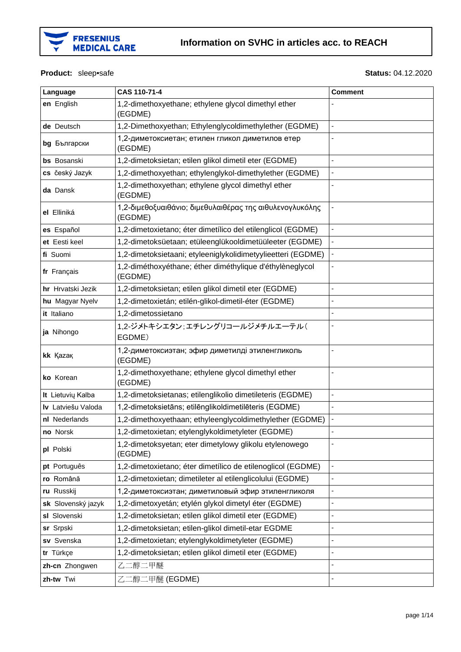

#### Product: sleep•safe

#### **Status: 04.12.2020**

| Language           | CAS 110-71-4                                                        | <b>Comment</b> |
|--------------------|---------------------------------------------------------------------|----------------|
| en English         | 1,2-dimethoxyethane; ethylene glycol dimethyl ether<br>(EGDME)      |                |
| de Deutsch         | 1,2-Dimethoxyethan; Ethylenglycoldimethylether (EGDME)              |                |
| bg Български       | 1,2-диметоксиетан; етилен гликол диметилов етер<br>(EGDME)          |                |
| <b>bs</b> Bosanski | 1,2-dimetoksietan; etilen glikol dimetil eter (EGDME)               |                |
| cs český Jazyk     | 1,2-dimethoxyethan; ethylenglykol-dimethylether (EGDME)             |                |
| da Dansk           | 1,2-dimethoxyethan; ethylene glycol dimethyl ether<br>(EGDME)       |                |
| el Elliniká        | 1,2-διμεθοξυαιθάνιο; διμεθυλαιθέρας της αιθυλενογλυκόλης<br>(EGDME) |                |
| es Español         | 1,2-dimetoxietano; éter dimetílico del etilenglicol (EGDME)         |                |
| et Eesti keel      | 1,2-dimetoksüetaan; etüleenglükooldimetüüleeter (EGDME)             |                |
| fi Suomi           | 1,2-dimetoksietaani; etyleeniglykolidimetyylieetteri (EGDME)        | ÷,             |
| fr Français        | 1,2-diméthoxyéthane; éther diméthylique d'éthylèneglycol<br>(EGDME) |                |
| hr Hrvatski Jezik  | 1,2-dimetoksietan; etilen glikol dimetil eter (EGDME)               |                |
| hu Magyar Nyelv    | 1,2-dimetoxietán; etilén-glikol-dimetil-éter (EGDME)                |                |
| it Italiano        | 1,2-dimetossietano                                                  |                |
| ja Nihongo         | 1,2-ジメトキシエタン:エチレングリコールジメチルエーテル(<br>EGDME)                           |                |
| kk Kazak           | 1,2-диметоксиэтан; эфир диметилді этиленгликоль<br>(EGDME)          |                |
| ko Korean          | 1,2-dimethoxyethane; ethylene glycol dimethyl ether<br>(EGDME)      |                |
| It Lietuvių Kalba  | 1,2-dimetoksietanas; etilenglikolio dimetileteris (EGDME)           |                |
| Iv Latviešu Valoda | 1,2-dimetoksietāns; etilēnglikoldimetilēteris (EGDME)               |                |
| nl Nederlands      | 1,2-dimethoxyethaan; ethyleenglycoldimethylether (EGDME)            |                |
| no Norsk           | 1,2-dimetoxietan; etylenglykoldimetyleter (EGDME)                   |                |
| pl Polski          | 1,2-dimetoksyetan; eter dimetylowy glikolu etylenowego<br>(EGDME)   |                |
| pt Português       | 1,2-dimetoxietano; éter dimetílico de etilenoglicol (EGDME)         | ÷,             |
| ro Română          | 1,2-dimetoxietan; dimetileter al etilenglicolului (EGDME)           |                |
| ru Russkij         | 1,2-диметоксиэтан; диметиловый эфир этиленгликоля                   | ÷              |
| sk Slovenský jazyk | 1,2-dimetoxyetán; etylén glykol dimetyl éter (EGDME)                |                |
| sl Slovenski       | 1,2-dimetoksietan; etilen glikol dimetil eter (EGDME)               |                |
| sr Srpski          | 1,2-dimetoksietan; etilen-glikol dimetil-etar EGDME                 | ٠              |
| sv Svenska         | 1,2-dimetoxietan; etylenglykoldimetyleter (EGDME)                   |                |
| tr Türkçe          | 1,2-dimetoksietan; etilen glikol dimetil eter (EGDME)               | ÷,             |
| zh-cn Zhongwen     | 乙二醇二甲醚                                                              |                |
| zh-tw Twi          | 乙二醇二甲醚 (EGDME)                                                      |                |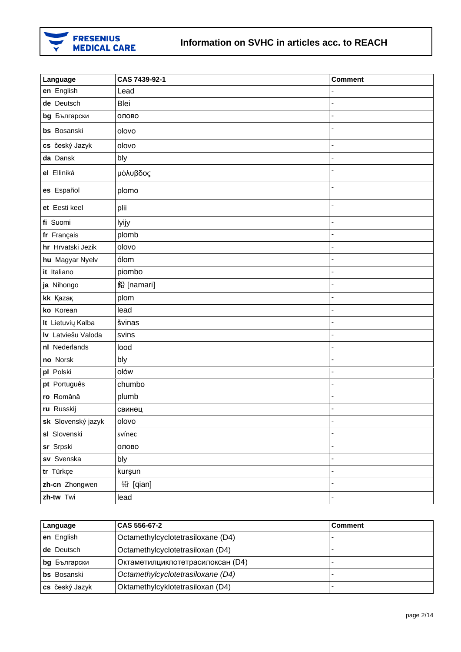

| Language           | CAS 7439-92-1 | <b>Comment</b> |
|--------------------|---------------|----------------|
| en English         | Lead          |                |
| de Deutsch         | Blei          | Ĭ.             |
| bg Български       | олово         |                |
| bs Bosanski        | olovo         | L,             |
| cs český Jazyk     | olovo         | Ĭ.             |
| da Dansk           | bly           | ÷,             |
| el Elliniká        | μόλυβδος      |                |
| es Español         | plomo         | Ĭ.             |
| et Eesti keel      | plii          | ä,             |
| fi Suomi           | lyijy         | ÷,             |
| fr Français        | plomb         |                |
| hr Hrvatski Jezik  | olovo         |                |
| hu Magyar Nyelv    | ólom          | ÷,             |
| it Italiano        | piombo        | ÷,             |
| ja Nihongo         | 鉛 [namari]    | ä,             |
| kk Kazak           | plom          | $\overline{a}$ |
| ko Korean          | lead          |                |
| It Lietuvių Kalba  | švinas        | ÷,             |
| Iv Latviešu Valoda | svins         | ÷,             |
| nl Nederlands      | lood          | ä,             |
| no Norsk           | bly           | ÷,             |
| pl Polski          | ołów          | $\blacksquare$ |
| pt Português       | chumbo        |                |
| ro Română          | plumb         | $\overline{a}$ |
| ru Russkij         | свинец        | $\blacksquare$ |
| sk Slovenský jazyk | olovo         |                |
| sl Slovenski       | svínec        | ÷,             |
| sr Srpski          | олово         | ä,             |
| sv Svenska         | bly           | ÷,             |
| tr Türkçe          | kurşun        | ÷,             |
| zh-cn Zhongwen     | 铅 [qian]      | $\blacksquare$ |
| zh-tw Twi          | lead          | $\blacksquare$ |

| Language           | CAS 556-67-2                      | <b>Comment</b> |
|--------------------|-----------------------------------|----------------|
| en English         | Octamethylcyclotetrasiloxane (D4) |                |
| de Deutsch         | Octamethylcyclotetrasiloxan (D4)  |                |
| bg Български       | Октаметилциклотетрасилоксан (D4)  |                |
| <b>bs</b> Bosanski | Octamethylcyclotetrasiloxane (D4) |                |
| cs český Jazyk     | Oktamethylcyklotetrasiloxan (D4)  |                |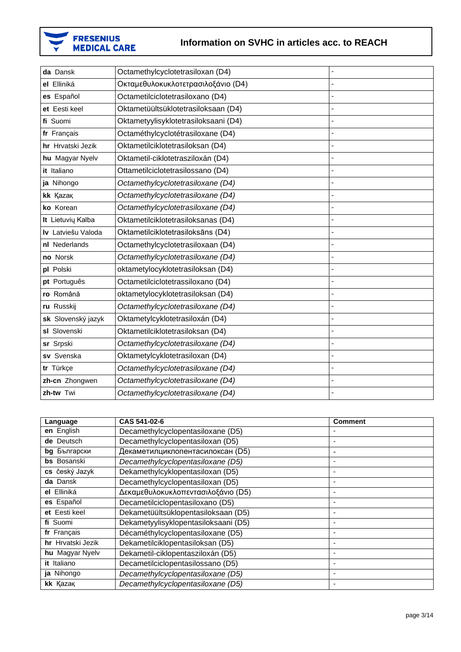

| da Dansk           | Octamethylcyclotetrasiloxan (D4)     | Ĭ.             |
|--------------------|--------------------------------------|----------------|
| el Elliniká        | Οκταμεθυλοκυκλοτετρασιλοξάνιο (D4)   | Ĭ.             |
| es Español         | Octametilciclotetrasiloxano (D4)     | L.             |
| et Eesti keel      | Oktametüültsüklotetrasiloksaan (D4)  |                |
| fi Suomi           | Oktametyylisyklotetrasiloksaani (D4) | $\overline{a}$ |
| fr Français        | Octaméthylcyclotétrasiloxane (D4)    | $\overline{a}$ |
| hr Hrvatski Jezik  | Oktametilciklotetrasiloksan (D4)     | ÷,             |
| hu Magyar Nyelv    | Oktametil-ciklotetrasziloxán (D4)    | l,             |
| it Italiano        | Ottametilciclotetrasilossano (D4)    | ÷,             |
| ja Nihongo         | Octamethylcyclotetrasiloxane (D4)    | Ĭ.             |
| kk Kazak           | Octamethylcyclotetrasiloxane (D4)    | Ĭ.             |
| ko Korean          | Octamethylcyclotetrasiloxane (D4)    | Ĭ.             |
| It Lietuvių Kalba  | Oktametilciklotetrasiloksanas (D4)   | L.             |
| Iv Latviešu Valoda | Oktametilciklotetrasiloksāns (D4)    | ä,             |
| nl Nederlands      | Octamethylcyclotetrasiloxaan (D4)    | Ĭ.             |
| no Norsk           | Octamethylcyclotetrasiloxane (D4)    |                |
| pl Polski          | oktametylocyklotetrasiloksan (D4)    | L.             |
| pt Português       | Octametilciclotetrassiloxano (D4)    | Ĭ.             |
| ro Română          | oktametylocyklotetrasiloksan (D4)    |                |
| ru Russkij         | Octamethylcyclotetrasiloxane (D4)    | Ĭ.             |
| sk Slovenský jazyk | Oktametylcyklotetrasiloxán (D4)      | L.             |
| sl Slovenski       | Oktametilciklotetrasiloksan (D4)     | Ĭ.             |
| sr Srpski          | Octamethylcyclotetrasiloxane (D4)    | $\blacksquare$ |
| sv Svenska         | Oktametylcyklotetrasiloxan (D4)      | Ĭ.             |
| tr Türkçe          | Octamethylcyclotetrasiloxane (D4)    | ÷,             |
| zh-cn Zhongwen     | Octamethylcyclotetrasiloxane (D4)    | Ĭ.             |
| zh-tw Twi          | Octamethylcyclotetrasiloxane (D4)    | $\blacksquare$ |

| Language           | CAS 541-02-6                         | <b>Comment</b> |
|--------------------|--------------------------------------|----------------|
| en English         | Decamethylcyclopentasiloxane (D5)    |                |
| de Deutsch         | Decamethylcyclopentasiloxan (D5)     |                |
| bg Български       | Декаметилциклопентасилоксан (D5)     |                |
| <b>bs</b> Bosanski | Decamethylcyclopentasiloxane (D5)    |                |
| cs český Jazyk     | Dekamethylcyklopentasiloxan (D5)     |                |
| da Dansk           | Decamethylcyclopentasiloxan (D5)     |                |
| el Elliniká        | Δεκαμεθυλοκυκλοπεντασιλοξάνιο (D5)   |                |
| es Español         | Decametilciclopentasiloxano (D5)     |                |
| et Eesti keel      | Dekametüültsüklopentasiloksaan (D5)  |                |
| fi Suomi           | Dekametyylisyklopentasiloksaani (D5) |                |
| fr Français        | Décaméthylcyclopentasiloxane (D5)    | ۰              |
| hr Hrvatski Jezik  | Dekametilciklopentasiloksan (D5)     |                |
| hu Magyar Nyelv    | Dekametil-ciklopentasziloxán (D5)    |                |
| it Italiano        | Decametilciclopentasilossano (D5)    |                |
| ja Nihongo         | Decamethylcyclopentasiloxane (D5)    |                |
| kk Kazak           | Decamethylcyclopentasiloxane (D5)    |                |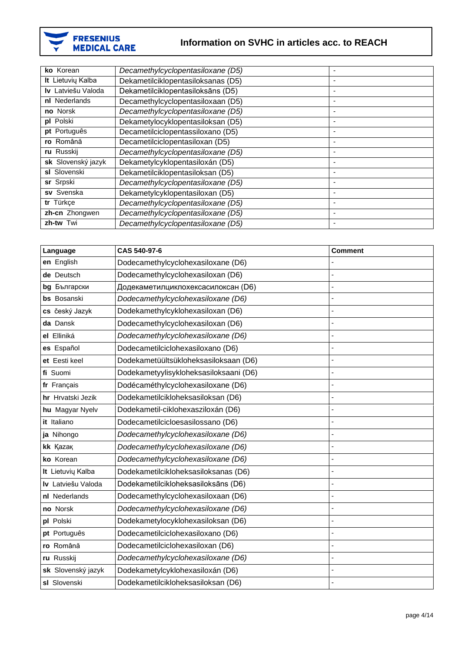

| ko Korean          | Decamethylcyclopentasiloxane (D5)  |                          |
|--------------------|------------------------------------|--------------------------|
| It Lietuvių Kalba  | Dekametilciklopentasiloksanas (D5) |                          |
| Iv Latviešu Valoda | Dekametilciklopentasiloksāns (D5)  |                          |
| nl Nederlands      | Decamethylcyclopentasiloxaan (D5)  |                          |
| no Norsk           | Decamethylcyclopentasiloxane (D5)  |                          |
| pl Polski          | Dekametylocyklopentasiloksan (D5)  |                          |
| pt Português       | Decametilciclopentassiloxano (D5)  | $\overline{\phantom{0}}$ |
| ro Română          | Decametilciclopentasiloxan (D5)    |                          |
| ru Russkij         | Decamethylcyclopentasiloxane (D5)  |                          |
| sk Slovenský jazyk | Dekametylcyklopentasiloxán (D5)    |                          |
| sl Slovenski       | Dekametilciklopentasiloksan (D5)   |                          |
| sr Srpski          | Decamethylcyclopentasiloxane (D5)  |                          |
| sv Svenska         | Dekametylcyklopentasiloxan (D5)    |                          |
| tr Türkçe          | Decamethylcyclopentasiloxane (D5)  |                          |
| zh-cn Zhongwen     | Decamethylcyclopentasiloxane (D5)  |                          |
| zh-tw Twi          | Decamethylcyclopentasiloxane (D5)  |                          |

| Language           | CAS 540-97-6                           | <b>Comment</b> |
|--------------------|----------------------------------------|----------------|
| en English         | Dodecamethylcyclohexasiloxane (D6)     |                |
| de Deutsch         | Dodecamethylcyclohexasiloxan (D6)      |                |
| bg Български       | Додекаметилциклохексасилоксан (D6)     |                |
| bs Bosanski        | Dodecamethylcyclohexasiloxane (D6)     |                |
| cs český Jazyk     | Dodekamethylcyklohexasiloxan (D6)      | L,             |
| da Dansk           | Dodecamethylcyclohexasiloxan (D6)      |                |
| el Elliniká        | Dodecamethylcyclohexasiloxane (D6)     |                |
| es Español         | Dodecametilciclohexasiloxano (D6)      |                |
| et Eesti keel      | Dodekametüültsükloheksasiloksaan (D6)  |                |
| fi Suomi           | Dodekametyylisykloheksasiloksaani (D6) | ÷,             |
| fr Français        | Dodécaméthylcyclohexasiloxane (D6)     | L,             |
| hr Hrvatski Jezik  | Dodekametilcikloheksasiloksan (D6)     |                |
| hu Magyar Nyelv    | Dodekametil-ciklohexasziloxán (D6)     | L,             |
| it Italiano        | Dodecametilcicloesasilossano (D6)      | ÷,             |
| ja Nihongo         | Dodecamethylcyclohexasiloxane (D6)     |                |
| kk Kazak           | Dodecamethylcyclohexasiloxane (D6)     |                |
| ko Korean          | Dodecamethylcyclohexasiloxane (D6)     |                |
| It Lietuvių Kalba  | Dodekametilcikloheksasiloksanas (D6)   |                |
| Iv Latviešu Valoda | Dodekametilcikloheksasiloksāns (D6)    |                |
| nl Nederlands      | Dodecamethylcyclohexasiloxaan (D6)     | L,             |
| no Norsk           | Dodecamethylcyclohexasiloxane (D6)     |                |
| pl Polski          | Dodekametylocyklohexasiloksan (D6)     | ÷,             |
| pt Português       | Dodecametilciclohexasiloxano (D6)      |                |
| ro Română          | Dodecametilciclohexasiloxan (D6)       |                |
| ru Russkij         | Dodecamethylcyclohexasiloxane (D6)     |                |
| sk Slovenský jazyk | Dodekametylcyklohexasiloxán (D6)       |                |
| sl Slovenski       | Dodekametilcikloheksasiloksan (D6)     |                |
|                    |                                        |                |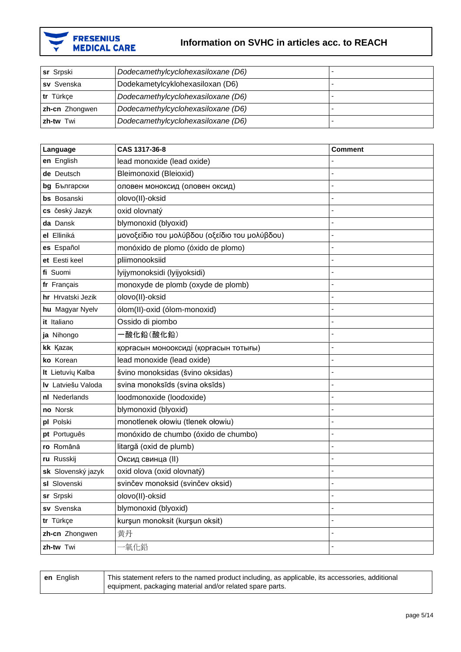

| <b>sr</b> Srpski | Dodecamethylcyclohexasiloxane (D6) |  |
|------------------|------------------------------------|--|
| sv Svenska       | Dodekametylcyklohexasiloxan (D6)   |  |
| tr Türkce        | Dodecamethylcyclohexasiloxane (D6) |  |
| zh-cn Zhongwen   | Dodecamethylcyclohexasiloxane (D6) |  |
| zh-tw Twi        | Dodecamethylcyclohexasiloxane (D6) |  |

| Language           | CAS 1317-36-8                                  | <b>Comment</b> |
|--------------------|------------------------------------------------|----------------|
| en English         | lead monoxide (lead oxide)                     |                |
| de Deutsch         | Bleimonoxid (Bleioxid)                         |                |
| bg Български       | оловен моноксид (оловен оксид)                 |                |
| bs Bosanski        | olovo(II)-oksid                                |                |
| cs český Jazyk     | oxid olovnatý                                  |                |
| da Dansk           | blymonoxid (blyoxid)                           |                |
| el Elliniká        | μονοξείδιο του μολύβδου (οξείδιο του μολύβδου) |                |
| es Español         | monóxido de plomo (óxido de plomo)             |                |
| et Eesti keel      | pliimonooksiid                                 |                |
| fi Suomi           | lyijymonoksidi (lyijyoksidi)                   |                |
| fr Français        | monoxyde de plomb (oxyde de plomb)             |                |
| hr Hrvatski Jezik  | olovo(II)-oksid                                |                |
| hu Magyar Nyelv    | ólom(II)-oxid (ólom-monoxid)                   |                |
| it Italiano        | Ossido di piombo                               |                |
| ja Nihongo         | -酸化鉛(酸化鉛)                                      |                |
| kk Kazak           | қорғасын монооксиді (қорғасын тотығы)          | Ĭ.             |
| ko Korean          | lead monoxide (lead oxide)                     |                |
| It Lietuvių Kalba  | švino monoksidas (švino oksidas)               |                |
| Iv Latviešu Valoda | svina monoksīds (svina oksīds)                 |                |
| nl Nederlands      | loodmonoxide (loodoxide)                       |                |
| no Norsk           | blymonoxid (blyoxid)                           |                |
| pl Polski          | monotlenek ołowiu (tlenek ołowiu)              |                |
| pt Português       | monóxido de chumbo (óxido de chumbo)           |                |
| ro Română          | litargă (oxid de plumb)                        |                |
| ru Russkij         | Оксид свинца (II)                              |                |
| sk Slovenský jazyk | oxid olova (oxid olovnatý)                     |                |
| sl Slovenski       | svinčev monoksid (svinčev oksid)               |                |
| sr Srpski          | olovo(II)-oksid                                |                |
| sv Svenska         | blymonoxid (blyoxid)                           |                |
| tr Türkçe          | kurşun monoksit (kurşun oksit)                 |                |
| zh-cn Zhongwen     | 黄丹                                             |                |
| zh-tw Twi          | 氧化鉛                                            |                |

| en English | This statement refers to the named product including, as applicable, its accessories, additional<br>equipment, packaging material and/or related spare parts. |
|------------|---------------------------------------------------------------------------------------------------------------------------------------------------------------|
|------------|---------------------------------------------------------------------------------------------------------------------------------------------------------------|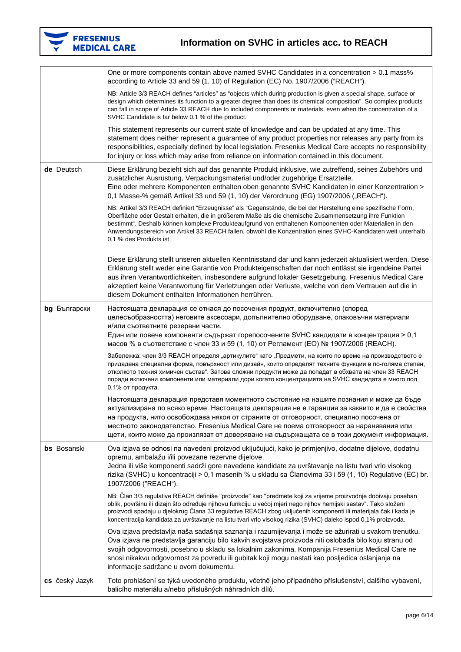

|                | One or more components contain above named SVHC Candidates in a concentration > 0.1 mass%<br>according to Article 33 and 59 (1, 10) of Regulation (EC) No. 1907/2006 ("REACH").                                                                                                                                                                                                                                                                                                     |
|----------------|-------------------------------------------------------------------------------------------------------------------------------------------------------------------------------------------------------------------------------------------------------------------------------------------------------------------------------------------------------------------------------------------------------------------------------------------------------------------------------------|
|                | NB: Article 3/3 REACH defines "articles" as "objects which during production is given a special shape, surface or<br>design which determines its function to a greater degree than does its chemical composition". So complex products<br>can fall in scope of Article 33 REACH due to included components or materials, even when the concentration of a<br>SVHC Candidate is far below 0.1 % of the product.                                                                      |
|                | This statement represents our current state of knowledge and can be updated at any time. This<br>statement does neither represent a guarantee of any product properties nor releases any party from its<br>responsibilities, especially defined by local legislation. Fresenius Medical Care accepts no responsibility<br>for injury or loss which may arise from reliance on information contained in this document.                                                               |
| de Deutsch     | Diese Erklärung bezieht sich auf das genannte Produkt inklusive, wie zutreffend, seines Zubehörs und<br>zusätzlicher Ausrüstung, Verpackungsmaterial und/oder zugehörige Ersatzteile.<br>Eine oder mehrere Komponenten enthalten oben genannte SVHC Kandidaten in einer Konzentration ><br>0,1 Masse-% gemäß Artikel 33 und 59 (1, 10) der Verordnung (EG) 1907/2006 ("REACH").                                                                                                     |
|                | NB: Artikel 3/3 REACH definiert "Erzeugnisse" als "Gegenstände, die bei der Herstellung eine spezifische Form,<br>Oberfläche oder Gestalt erhalten, die in größerem Maße als die chemische Zusammensetzung ihre Funktion<br>bestimmt". Deshalb können komplexe Produkteaufgrund von enthaltenen Komponenten oder Materialien in den<br>Anwendungsbereich von Artikel 33 REACH fallen, obwohl die Konzentration eines SVHC-Kandidaten weit unterhalb<br>0,1 % des Produkts ist.      |
|                | Diese Erklärung stellt unseren aktuellen Kenntnisstand dar und kann jederzeit aktualisiert werden. Diese<br>Erklärung stellt weder eine Garantie von Produkteigenschaften dar noch entlässt sie irgendeine Partei<br>aus ihren Verantwortlichkeiten, insbesondere aufgrund lokaler Gesetzgebung. Fresenius Medical Care<br>akzeptiert keine Verantwortung für Verletzungen oder Verluste, welche von dem Vertrauen auf die in<br>diesem Dokument enthalten Informationen herrühren. |
| bg Български   | Настоящата декларация се отнася до посочения продукт, включително (според<br>целесъобразността) неговите аксесоари, допълнително оборудване, опаковъчни материали<br>и/или съответните резервни части.<br>Един или повече компоненти съдържат горепосочените SVHC кандидати в концентрация > 0,1<br>масов % в съответствие с член 33 и 59 (1, 10) от Регламент (ЕО) № 1907/2006 (REACH).                                                                                            |
|                | Забележка: член 3/3 REACH определя "артикулите" като "Предмети, на които по време на производството е<br>придадена специална форма, повърхност или дизайн, които определят техните функции в по-голяма степен,<br>отколкото техния химичен състав". Затова сложни продукти може да попадат в обхвата на член 33 REACH<br>поради включени компоненти или материали дори когато концентрацията на SVHC кандидата е много под<br>0,1% от продукта.                                     |
|                | Настоящата декларация представя моментното състояние на нашите познания и може да бъде<br>актуализирана по всяко време. Настоящата декларация не е гаранция за каквито и да е свойства<br>на продукта, нито освобождава някоя от страните от отговорност, специално посочена от<br>местното законодателство. Fresenius Medical Care не поема отговорност за наранявания или<br>щети, които може да произлязат от доверяване на съдържащата се в този документ информация.           |
| bs Bosanski    | Ova izjava se odnosi na navedeni proizvod uključujući, kako je primjenjivo, dodatne dijelove, dodatnu<br>opremu, ambalažu i/ili povezane rezervne dijelove.<br>Jedna ili više komponenti sadrži gore navedene kandidate za uvrštavanje na listu tvari vrlo visokog<br>rizika (SVHC) u koncentraciji > 0,1 masenih % u skladu sa Članovima 33 i 59 (1, 10) Regulative (EC) br.<br>1907/2006 ("REACH").                                                                               |
|                | NB: Član 3/3 regulative REACH definiše "proizvode" kao "predmete koji za vrijeme proizvodnje dobivaju poseban<br>oblik, površinu ili dizajn što određuje njihovu funkciju u većoj mjeri nego njihov hemijski sastav". Tako složeni<br>proizvodi spadaju u djelokrug Člana 33 regulative REACH zbog uključenih komponenti ili materijala čak i kada je<br>koncentracija kandidata za uvrštavanje na listu tvari vrlo visokog rizika (SVHC) daleko ispod 0,1% proizvoda.              |
|                | Ova izjava predstavlja naša sadašnja saznanja i razumijevanja i može se ažurirati u svakom trenutku.<br>Ova izjava ne predstavlja garanciju bilo kakvih svojstava proizvoda niti oslobađa bilo koju stranu od<br>svojih odgovornosti, posebno u skladu sa lokalnim zakonima. Kompanija Fresenius Medical Care ne<br>snosi nikakvu odgovornost za povredu ili gubitak koji mogu nastati kao posljedica oslanjanja na<br>informacije sadržane u ovom dokumentu.                       |
| cs český Jazyk | Toto prohlášení se týká uvedeného produktu, včetně jeho případného příslušenství, dalšího vybavení,<br>balicího materiálu a/nebo příslušných náhradních dílů.                                                                                                                                                                                                                                                                                                                       |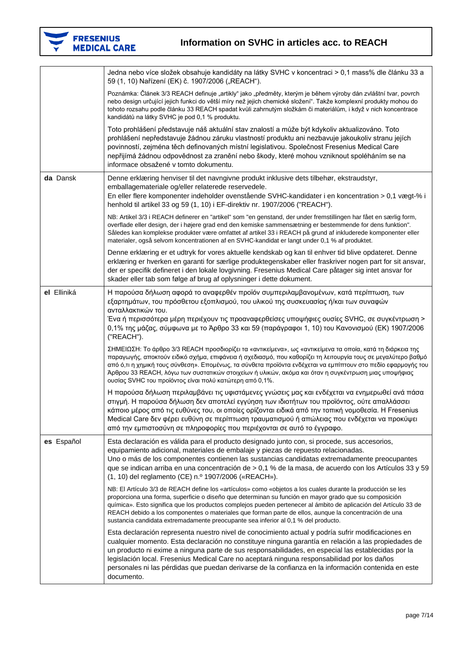

|             | Jedna nebo více složek obsahuje kandidáty na látky SVHC v koncentraci > 0,1 mass% dle článku 33 a<br>59 (1, 10) Nařízení (EK) č. 1907/2006 ("REACH").                                                                                                                                                                                                                                                                                                                                                                                     |
|-------------|-------------------------------------------------------------------------------------------------------------------------------------------------------------------------------------------------------------------------------------------------------------------------------------------------------------------------------------------------------------------------------------------------------------------------------------------------------------------------------------------------------------------------------------------|
|             | Poznámka: Článek 3/3 REACH definuje "artikly" jako "předměty, kterým je během výroby dán zvláštní tvar, povrch<br>nebo design určující jejich funkci do větší míry než jejich chemické složení". Takže komplexní produkty mohou do<br>tohoto rozsahu podle článku 33 REACH spadat kvůli zahrnutým složkám či materiálům, i když v nich koncentrace<br>kandidátů na látky SVHC je pod 0,1 % produktu.                                                                                                                                      |
|             | Toto prohlášení představuje náš aktuální stav znalostí a může být kdykoliv aktualizováno. Toto<br>prohlášení nepředstavuje žádnou záruku vlastností produktu ani nezbavuje jakoukoliv stranu jejích<br>povinností, zejména těch definovaných místní legislativou. Společnost Fresenius Medical Care<br>nepřijímá žádnou odpovědnost za zranění nebo škody, které mohou vzniknout spoléháním se na<br>informace obsažené v tomto dokumentu.                                                                                                |
| da Dansk    | Denne erklæring henviser til det navngivne produkt inklusive dets tilbehør, ekstraudstyr,<br>emballagemateriale og/eller relaterede reservedele.<br>En eller flere komponenter indeholder ovenstående SVHC-kandidater i en koncentration > 0,1 vægt-% i<br>henhold til artikel 33 og 59 (1, 10) i EF-direktiv nr. 1907/2006 ("REACH").                                                                                                                                                                                                    |
|             | NB: Artikel 3/3 i REACH definerer en "artikel" som "en genstand, der under fremstillingen har fået en særlig form,<br>overflade eller design, der i højere grad end den kemiske sammensætning er bestemmende for dens funktion".<br>Således kan komplekse produkter være omfattet af artikel 33 i REACH på grund af inkluderede komponenter eller<br>materialer, også selvom koncentrationen af en SVHC-kandidat er langt under 0,1 % af produktet.                                                                                       |
|             | Denne erklæring er et udtryk for vores aktuelle kendskab og kan til enhver tid blive opdateret. Denne<br>erklæring er hverken en garanti for særlige produktegenskaber eller fraskriver nogen part for sit ansvar,<br>der er specifik defineret i den lokale lovgivning. Fresenius Medical Care påtager sig intet ansvar for<br>skader eller tab som følge af brug af oplysninger i dette dokument.                                                                                                                                       |
| el Elliniká | Η παρούσα δήλωση αφορά το αναφερθέν προϊόν συμπεριλαμβανομένων, κατά περίπτωση, των<br>εξαρτημάτων, του πρόσθετου εξοπλισμού, του υλικού της συσκευασίας ή/και των συναφών<br>ανταλλακτικών του.<br>Ένα ή περισσότερα μέρη περιέχουν τις προαναφερθείσες υποψήφιες ουσίες SVHC, σε συγκέντρωση ><br>0,1% της μάζας, σύμφωνα με το Άρθρο 33 και 59 (παράγραφοι 1, 10) του Κανονισμού (ΕΚ) 1907/2006<br>("REACH").                                                                                                                          |
|             | ΣΗΜΕΙΩΣΗ: Το άρθρο 3/3 REACH προσδιορίζει τα «αντικείμενα», ως «αντικείμενα τα οποία, κατά τη διάρκεια της<br>παραγωγής, αποκτούν ειδικό σχήμα, επιφάνεια ή σχεδιασμό, που καθορίζει τη λειτουργία τους σε μεγαλύτερο βαθμό<br>από ό,τι η χημική τους σύνθεση». Επομένως, τα σύνθετα προϊόντα ενδέχεται να εμπίπτουν στο πεδίο εφαρμογής του<br>Άρθρου 33 REACH, λόγω των συστατικών στοιχείων ή υλικών, ακόμα και όταν η συγκέντρωση μιας υποψήφιας<br>ουσίας SVHC του προϊόντος είναι πολύ κατώτερη από 0,1%.                           |
|             | Η παρούσα δήλωση περιλαμβάνει τις υφιστάμενες γνώσεις μας και ενδέχεται να ενημερωθεί ανά πάσα<br>στιγμή. Η παρούσα δήλωση δεν αποτελεί εγγύηση των ιδιοτήτων του προϊόντος, ούτε απαλλάσσει<br>κάποιο μέρος από τις ευθύνες του, οι οποίες ορίζονται ειδικά από την τοπική νομοθεσία. Η Fresenius<br>Medical Care δεν φέρει ευθύνη σε περίπτωση τραυματισμού ή απώλειας που ενδέχεται να προκύψει<br>από την εμπιστοσύνη σε πληροφορίες που περιέχονται σε αυτό το έγγραφο.                                                              |
| es Español  | Esta declaración es válida para el producto designado junto con, si procede, sus accesorios,<br>equipamiento adicional, materiales de embalaje y piezas de repuesto relacionadas.<br>Uno o más de los componentes contienen las sustancias candidatas extremadamente preocupantes<br>que se indican arriba en una concentración de > 0,1 % de la masa, de acuerdo con los Artículos 33 y 59<br>(1, 10) del reglamento (CE) n.º 1907/2006 («REACH»).                                                                                       |
|             | NB: El Artículo 3/3 de REACH define los «artículos» como «objetos a los cuales durante la producción se les<br>proporciona una forma, superficie o diseño que determinan su función en mayor grado que su composición<br>química». Esto significa que los productos complejos pueden pertenecer al ámbito de aplicación del Artículo 33 de<br>REACH debido a los componentes o materiales que forman parte de ellos, aunque la concentración de una<br>sustancia candidata extremadamente preocupante sea inferior al 0,1 % del producto. |
|             | Esta declaración representa nuestro nivel de conocimiento actual y podría sufrir modificaciones en<br>cualquier momento. Esta declaración no constituye ninguna garantía en relación a las propiedades de<br>un producto ni exime a ninguna parte de sus responsabilidades, en especial las establecidas por la<br>legislación local. Fresenius Medical Care no aceptará ninguna responsabilidad por los daños<br>personales ni las pérdidas que puedan derivarse de la confianza en la información contenida en este<br>documento.       |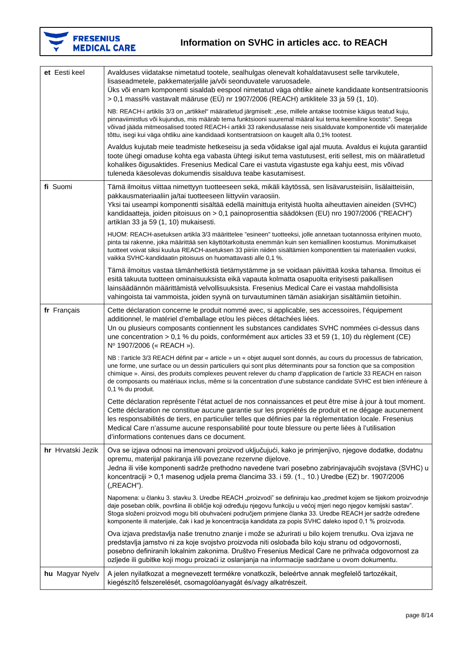

| et Eesti keel     | Avalduses viidatakse nimetatud tootele, sealhulgas olenevalt kohaldatavusest selle tarvikutele,<br>lisaseadmetele, pakkematerjalile ja/või seonduvatele varuosadele.<br>Üks või enam komponenti sisaldab eespool nimetatud väga ohtlike ainete kandidaate kontsentratsioonis<br>> 0,1 massi% vastavalt määruse (EÜ) nr 1907/2006 (REACH) artiklitele 33 ja 59 (1, 10).                                                                                                                                |
|-------------------|-------------------------------------------------------------------------------------------------------------------------------------------------------------------------------------------------------------------------------------------------------------------------------------------------------------------------------------------------------------------------------------------------------------------------------------------------------------------------------------------------------|
|                   | NB: REACH-i artiklis 3/3 on "artikkel" määratletud järgmiselt: "ese, millele antakse tootmise käigus teatud kuju,<br>pinnaviimistlus või kujundus, mis määrab tema funktsiooni suuremal määral kui tema keemiline koostis". Seega<br>võivad jääda mitmeosalised tooted REACH-i artikli 33 rakendusalasse neis sisalduvate komponentide või materjalide<br>tõttu, isegi kui väga ohtliku aine kandidaadi kontsentratsioon on kaugelt alla 0,1% tootest.                                                |
|                   | Avaldus kujutab meie teadmiste hetkeseisu ja seda võidakse igal ajal muuta. Avaldus ei kujuta garantiid<br>toote ühegi omaduse kohta ega vabasta ühtegi isikut tema vastutusest, eriti sellest, mis on määratletud<br>kohalikes õigusaktides. Fresenius Medical Care ei vastuta vigastuste ega kahju eest, mis võivad<br>tuleneda käesolevas dokumendis sisalduva teabe kasutamisest.                                                                                                                 |
| fi Suomi          | Tämä ilmoitus viittaa nimettyyn tuotteeseen sekä, mikäli käytössä, sen lisävarusteisiin, lisälaitteisiin,<br>pakkausmateriaaliin ja/tai tuotteeseen liittyviin varaosiin.<br>Yksi tai useampi komponentti sisältää edellä mainittuja erityistä huolta aiheuttavien aineiden (SVHC)<br>kandidaatteja, joiden pitoisuus on > 0,1 painoprosenttia säädöksen (EU) nro 1907/2006 ("REACH")<br>artiklan 33 ja 59 (1, 10) mukaisesti.                                                                        |
|                   | HUOM: REACH-asetuksen artikla 3/3 määrittelee "esineen" tuotteeksi, jolle annetaan tuotannossa erityinen muoto,<br>pinta tai rakenne, joka määrittää sen käyttötarkoitusta enemmän kuin sen kemiallinen koostumus. Monimutkaiset<br>tuotteet voivat siksi kuulua REACH-asetuksen 33 piiriin niiden sisältämien komponenttien tai materiaalien vuoksi,<br>vaikka SVHC-kandidaatin pitoisuus on huomattavasti alle 0,1 %.                                                                               |
|                   | Tämä ilmoitus vastaa tämänhetkistä tietämystämme ja se voidaan päivittää koska tahansa. Ilmoitus ei<br>esitä takuuta tuotteen ominaisuuksista eikä vapauta kolmatta osapuolta erityisesti paikallisen<br>lainsäädännön määrittämistä velvollisuuksista. Fresenius Medical Care ei vastaa mahdollisista<br>vahingoista tai vammoista, joiden syynä on turvautuminen tämän asiakirjan sisältämiin tietoihin.                                                                                            |
| fr Français       | Cette déclaration concerne le produit nommé avec, si applicable, ses accessoires, l'équipement<br>additionnel, le matériel d'emballage et/ou les pièces détachées liées.<br>Un ou plusieurs composants contiennent les substances candidates SVHC nommées ci-dessus dans<br>une concentration > 0,1 % du poids, conformément aux articles 33 et 59 (1, 10) du règlement (CE)<br>Nº 1907/2006 (« REACH »).                                                                                             |
|                   | NB : l'article 3/3 REACH définit par « article » un « objet auquel sont donnés, au cours du processus de fabrication,<br>une forme, une surface ou un dessin particuliers qui sont plus déterminants pour sa fonction que sa composition<br>chimique ». Ainsi, des produits complexes peuvent relever du champ d'application de l'article 33 REACH en raison<br>de composants ou matériaux inclus, même si la concentration d'une substance candidate SVHC est bien inférieure à<br>0,1 % du produit. |
|                   | Cette déclaration représente l'état actuel de nos connaissances et peut être mise à jour à tout moment.<br>Cette déclaration ne constitue aucune garantie sur les propriétés de produit et ne dégage aucunement<br>les responsabilités de tiers, en particulier telles que définies par la réglementation locale. Fresenius<br>Medical Care n'assume aucune responsabilité pour toute blessure ou perte liées à l'utilisation<br>d'informations contenues dans ce document.                           |
| hr Hrvatski Jezik | Ova se izjava odnosi na imenovani proizvod uključujući, kako je primjenjivo, njegove dodatke, dodatnu<br>opremu, materijal pakiranja i/ili povezane rezervne dijelove.<br>Jedna ili više komponenti sadrže prethodno navedene tvari posebno zabrinjavajućih svojstava (SVHC) u<br>koncentraciji > 0,1 masenog udjela prema člancima 33. i 59. (1., 10.) Uredbe (EZ) br. 1907/2006<br>("REACH").                                                                                                       |
|                   | Napomena: u članku 3. stavku 3. Uredbe REACH "proizvodi" se definiraju kao "predmet kojem se tijekom proizvodnje<br>daje poseban oblik, površina ili obličje koji određuju njegovu funkciju u većoj mjeri nego njegov kemijski sastav".<br>Stoga složeni proizvodi mogu biti obuhvaćeni područjem primjene članka 33. Uredbe REACH jer sadrže određene<br>komponente ili materijale, čak i kad je koncentracija kandidata za popis SVHC daleko ispod 0,1 % proizvoda.                                 |
|                   | Ova izjava predstavlja naše trenutno znanje i može se ažurirati u bilo kojem trenutku. Ova izjava ne<br>predstavlja jamstvo ni za koje svojstvo proizvoda niti oslobađa bilo koju stranu od odgovornosti,<br>posebno definiranih lokalnim zakonima. Društvo Fresenius Medical Care ne prihvaća odgovornost za<br>ozljede ili gubitke koji mogu proizaći iz oslanjanja na informacije sadržane u ovom dokumentu.                                                                                       |
| hu Magyar Nyelv   | A jelen nyilatkozat a megnevezett termékre vonatkozik, beleértve annak megfelelő tartozékait,<br>kiegészítő felszerelését, csomagolóanyagát és/vagy alkatrészeit.                                                                                                                                                                                                                                                                                                                                     |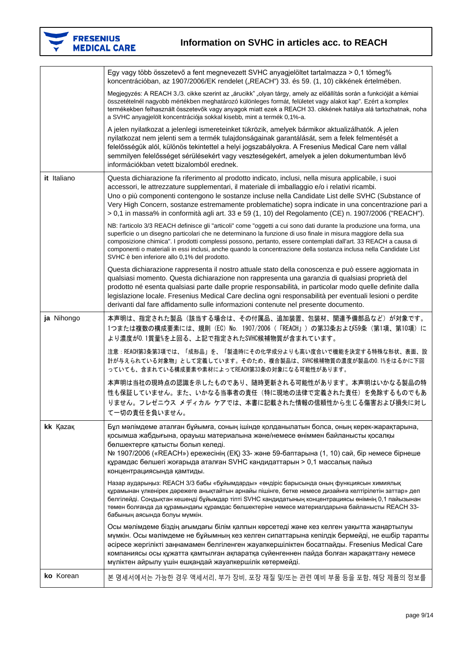

|             | Egy vagy több összetevő a fent megnevezett SVHC anyagjelöltet tartalmazza > 0,1 tömeg%<br>koncentrációban, az 1907/2006/EK rendelet ("REACH") 33. és 59. (1, 10) cikkének értelmében.                                                                                                                                                                                                                                                                                                                                          |
|-------------|--------------------------------------------------------------------------------------------------------------------------------------------------------------------------------------------------------------------------------------------------------------------------------------------------------------------------------------------------------------------------------------------------------------------------------------------------------------------------------------------------------------------------------|
|             | Megjegyzés: A REACH 3./3. cikke szerint az "árucikk" "olyan tárgy, amely az előállítás során a funkcióját a kémiai<br>összetételnél nagyobb mértékben meghatározó különleges formát, felületet vagy alakot kap". Ezért a komplex<br>termékekben felhasznált összetevők vagy anyagok miatt ezek a REACH 33. cikkének hatálya alá tartozhatnak, noha<br>a SVHC anyagjelölt koncentrációja sokkal kisebb, mint a termék 0,1%-a.                                                                                                   |
|             | A jelen nyilatkozat a jelenlegi ismereteinket tükrözik, amelyek bármikor aktualizálhatók. A jelen<br>nyilatkozat nem jelenti sem a termék tulajdonságainak garantálását, sem a felek felmentését a<br>felelősségük alól, különös tekintettel a helyi jogszabályokra. A Fresenius Medical Care nem vállal<br>semmilyen felelősséget sérülésekért vagy veszteségekért, amelyek a jelen dokumentumban lévő<br>információkban vetett bizalomból erednek.                                                                           |
| it Italiano | Questa dichiarazione fa riferimento al prodotto indicato, inclusi, nella misura applicabile, i suoi<br>accessori, le attrezzature supplementari, il materiale di imballaggio e/o i relativi ricambi.<br>Uno o più componenti contengono le sostanze incluse nella Candidate List delle SVHC (Substance of<br>Very High Concern, sostanze estremamente problematiche) sopra indicate in una concentrazione pari a<br>> 0,1 in massa% in conformità agli art. 33 e 59 (1, 10) del Regolamento (CE) n. 1907/2006 ("REACH").       |
|             | NB: l'articolo 3/3 REACH definisce gli "articoli" come "oggetti a cui sono dati durante la produzione una forma, una<br>superficie o un disegno particolari che ne determinano la funzione di uso finale in misura maggiore della sua<br>composizione chimica". I prodotti complessi possono, pertanto, essere contemplati dall'art. 33 REACH a causa di<br>componenti o materiali in essi inclusi, anche quando la concentrazione della sostanza inclusa nella Candidate List<br>SVHC è ben inferiore allo 0,1% del prodotto. |
|             | Questa dichiarazione rappresenta il nostro attuale stato della conoscenza e può essere aggiornata in<br>qualsiasi momento. Questa dichiarazione non rappresenta una garanzia di qualsiasi proprietà del<br>prodotto né esenta qualsiasi parte dalle proprie responsabilità, in particolar modo quelle definite dalla<br>legislazione locale. Fresenius Medical Care declina ogni responsabilità per eventuali lesioni o perdite<br>derivanti dal fare affidamento sulle informazioni contenute nel presente documento.         |
| ja Nihongo  | 本声明は、指定された製品(該当する場合は、その付属品、追加装置、包装材、関連予備部品など)が対象です。<br>1つまたは複数の構成要素には、規則(EC)No. 1907/2006(「REACH」)の第33条および59条(第1項、第10項)に<br>より濃度が0.1質量%を上回る、上記で指定されたSVHC候補物質が含まれています。                                                                                                                                                                                                                                                                                                                                                          |
|             | 注意:REACH第3条第3項では、「成形品」を、「製造時にその化学成分よりも高い度合いで機能を決定する特殊な形状、表面、設<br>計が与えられている対象物」として定義しています。そのため、複合製品は、SVHC候補物質の濃度が製品の0.1%をはるかに下回<br>っていても、含まれている構成要素や素材によってREACH第33条の対象になる可能性があります。                                                                                                                                                                                                                                                                                                                                              |
|             | 本声明は当社の現時点の認識を示したものであり、随時更新される可能性があります。本声明はいかなる製品の特<br>性も保証していません。また、いかなる当事者の責任(特に現地の法律で定義された責任)を免除するものでもあ<br>りません。フレゼニウス メディカル ケアでは、本書に記載された情報の信頼性から生じる傷害および損失に対し<br>て一切の責任を負いません。                                                                                                                                                                                                                                                                                                                                            |
| kk Kazar    | Бұл мәлімдеме аталған бұйымға, соның ішінде қолданылатын болса, оның керек-жарақтарына,<br>қосымша жабдығына, орауыш материалына және/немесе өніммен байланысты қосалқы<br>бөлшектерге қатысты болып келеді.<br>№ 1907/2006 («REACH») ережесінің (ЕҚ) 33- және 59-баптарына (1, 10) сай, бір немесе бірнеше<br>құрамдас бөлшегі жоғарыда аталған SVHC кандидаттарын > 0,1 массалық пайыз<br>концентрациясында қамтиды.                                                                                                         |
|             | Назар аударыңыз: REACH 3/3 бабы «бұйымдарды» «өндіріс барысында оның функциясын химиялық<br>құрамынан үлкенірек дәрежеге анықтайтын арнайы пішінге, бетке немесе дизайнға келтірілетін заттар» деп<br>белгілейді. Сондықтан кешенді бұйымдар тіпті SVHC кандидатының концентрациясы өнімнің 0,1 пайызынан<br>төмен болғанда да құрамындағы құрамдас бөлшектеріне немесе материалдарына байланысты REACH 33-<br>бабының аясында болуы мүмкін.                                                                                   |
|             | Осы мәлімдеме біздің ағымдағы білім қалпын көрсетеді және кез келген уақытта жаңартылуы<br>мүмкін. Осы мәлімдеме не бұйымның кез келген сипаттарына кепілдік бермейді, не ешбір тарапты<br>әсіресе жергілікті заңнамамен белгіленген жауапкершіліктен босатпайды. Fresenius Medical Care<br>компаниясы осы құжатта қамтылған ақпаратқа сүйенгеннен пайда болған жарақаттану немесе<br>мүліктен айрылу үшін ешқандай жауапкершілік көтермейді.                                                                                  |
| ko Korean   | 본 명세서에서는 가능한 경우 액세서리, 부가 장비, 포장 재질 및/또는 관련 예비 부품 등을 포함, 해당 제품의 정보를                                                                                                                                                                                                                                                                                                                                                                                                                                                             |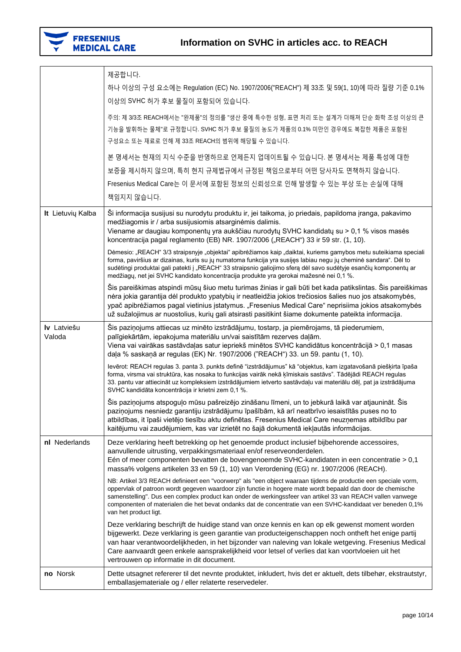

|                       | 제공합니다.<br>하나 이상의 구성 요소에는 Regulation (EC) No. 1907/2006("REACH") 제 33조 및 59(1, 10)에 따라 질량 기준 0.1%                                                                                                                                                                                                                                                                                                                                                                                     |
|-----------------------|--------------------------------------------------------------------------------------------------------------------------------------------------------------------------------------------------------------------------------------------------------------------------------------------------------------------------------------------------------------------------------------------------------------------------------------------------------------------------------------|
|                       | 이상의 SVHC 허가 후보 물질이 포함되어 있습니다.                                                                                                                                                                                                                                                                                                                                                                                                                                                        |
|                       | 주의: 제 3/3조 REACH에서는 "완제품"의 정의를 "생산 중에 특수한 성형, 표면 처리 또는 설계가 더해져 단순 화학 조성 이상의 큰<br>기능을 발휘하는 물체"로 규정합니다. SVHC 허가 후보 물질의 농도가 제품의 0.1% 미만인 경우에도 복잡한 제품은 포함된<br>구성요소 또는 재료로 인해 제 33조 REACH의 범위에 해당될 수 있습니다.                                                                                                                                                                                                                                                                                |
|                       | 본 명세서는 현재의 지식 수준을 반영하므로 언제든지 업데이트될 수 있습니다. 본 명세서는 제품 특성에 대한                                                                                                                                                                                                                                                                                                                                                                                                                          |
|                       | 보증을 제시하지 않으며, 특히 현지 규제법규에서 규정된 책임으로부터 어떤 당사자도 면책하지 않습니다.                                                                                                                                                                                                                                                                                                                                                                                                                             |
|                       | Fresenius Medical Care는 이 문서에 포함된 정보의 신뢰성으로 인해 발생할 수 있는 부상 또는 손실에 대해                                                                                                                                                                                                                                                                                                                                                                                                                 |
|                       | 책임지지 않습니다.                                                                                                                                                                                                                                                                                                                                                                                                                                                                           |
| It Lietuvių Kalba     | Ši informacija susijusi su nurodytu produktu ir, jei taikoma, jo priedais, papildoma įranga, pakavimo<br>medžiagomis ir / arba susijusiomis atsarginėmis dalimis.<br>Viename ar daugiau komponentų yra aukščiau nurodytų SVHC kandidatų su > 0,1 % visos masės<br>koncentracija pagal reglamento (EB) NR. 1907/2006 ("REACH") 33 ir 59 str. (1, 10).                                                                                                                                 |
|                       | Dėmesio: "REACH" 3/3 straipsnyje "objektai" apibrėžiamos kaip "daiktai, kuriems gamybos metu suteikiama speciali<br>forma, paviršius ar dizainas, kuris su jų numatoma funkcija yra susijęs labiau negu jų cheminė sandara". Dėl to<br>sudėtingi produktai gali patekti į "REACH" 33 straipsnio galiojimo sferą dėl savo sudėtyje esančių komponentų ar<br>medžiagų, net jei SVHC kandidato koncentracija produkte yra gerokai mažesnė nei 0,1 %.                                    |
|                       | Šis pareiškimas atspindi mūsų šiuo metu turimas žinias ir gali būti bet kada patikslintas. Šis pareiškimas<br>nėra jokia garantija dėl produkto ypatybių ir neatleidžia jokios trečiosios šalies nuo jos atsakomybės,<br>ypač apibrėžiamos pagal vietinius įstatymus. "Fresenius Medical Care" neprisiima jokios atsakomybės<br>už sužalojimus ar nuostolius, kurių gali atsirasti pasitikint šiame dokumente pateikta informacija.                                                  |
| Iv Latviešu<br>Valoda | Šis paziņojums attiecas uz minēto izstrādājumu, tostarp, ja piemērojams, tā piederumiem,<br>palīgiekārtām, iepakojuma materiālu un/vai saistītām rezerves daļām.<br>Viena vai vairākas sastāvdaļas satur iepriekš minētos SVHC kandidātus koncentrācijā > 0,1 masas<br>daļa % saskaņā ar regulas (EK) Nr. 1907/2006 ("REACH") 33. un 59. pantu (1, 10).                                                                                                                              |
|                       | levērot: REACH regulas 3. panta 3. punkts definē "izstrādājumus" kā "objektus, kam izgatavošanā piešķirta īpaša<br>forma, virsma vai struktūra, kas nosaka to funkcijas vairāk nekā ķīmiskais sastāvs". Tādējādi REACH regulas<br>33. pantu var attiecināt uz kompleksiem izstrādājumiem ietverto sastāvdaļu vai materiālu dēļ, pat ja izstrādājuma<br>SVHC kandidāta koncentrācija ir krietni zem 0,1 %.                                                                            |
|                       | Šis paziņojums atspoguļo mūsu pašreizējo zināšanu līmeni, un to jebkurā laikā var atjaunināt. Šis<br>paziņojums nesniedz garantiju izstrādājumu īpašībām, kā arī neatbrīvo iesaistītās puses no to<br>atbildības, it īpaši vietējo tiesību aktu definētas. Fresenius Medical Care neuzņemas atbildību par<br>kaitējumu vai zaudējumiem, kas var izrietēt no šajā dokumentā iekļautās informācijas.                                                                                   |
| nl Nederlands         | Deze verklaring heeft betrekking op het genoemde product inclusief bijbehorende accessoires,<br>aanvullende uitrusting, verpakkingsmateriaal en/of reserveonderdelen.<br>Eén of meer componenten bevatten de bovengenoemde SVHC-kandidaten in een concentratie > 0,1<br>massa% volgens artikelen 33 en 59 (1, 10) van Verordening (EG) nr. 1907/2006 (REACH).                                                                                                                        |
|                       | NB: Artikel 3/3 REACH definieert een "voorwerp" als "een object waaraan tijdens de productie een speciale vorm,<br>oppervlak of patroon wordt gegeven waardoor zijn functie in hogere mate wordt bepaald dan door de chemische<br>samenstelling". Dus een complex product kan onder de werkingssfeer van artikel 33 van REACH vallen vanwege<br>componenten of materialen die het bevat ondanks dat de concentratie van een SVHC-kandidaat ver beneden 0,1%<br>van het product ligt. |
|                       | Deze verklaring beschrijft de huidige stand van onze kennis en kan op elk gewenst moment worden<br>bijgewerkt. Deze verklaring is geen garantie van producteigenschappen noch ontheft het enige partij<br>van haar verantwoordelijkheden, in het bijzonder van naleving van lokale wetgeving. Fresenius Medical<br>Care aanvaardt geen enkele aansprakelijkheid voor letsel of verlies dat kan voortvloeien uit het<br>vertrouwen op informatie in dit document.                     |
| no Norsk              | Dette utsagnet refererer til det nevnte produktet, inkludert, hvis det er aktuelt, dets tilbehør, ekstrautstyr,<br>emballasjemateriale og / eller relaterte reservedeler.                                                                                                                                                                                                                                                                                                            |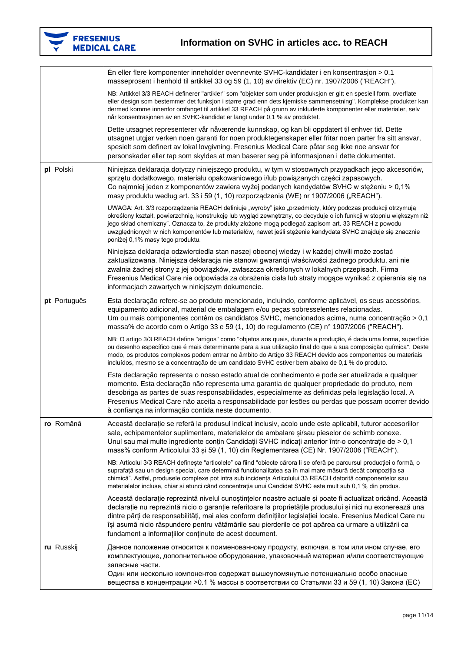

|              | En eller flere komponenter inneholder ovennevnte SVHC-kandidater i en konsentrasion > 0,1<br>masseprosent i henhold til artikkel 33 og 59 (1, 10) av direktiv (EC) nr. 1907/2006 ("REACH").                                                                                                                                                                                                                                                                                                                  |
|--------------|--------------------------------------------------------------------------------------------------------------------------------------------------------------------------------------------------------------------------------------------------------------------------------------------------------------------------------------------------------------------------------------------------------------------------------------------------------------------------------------------------------------|
|              | NB: Artikkel 3/3 REACH definerer "artikler" som "objekter som under produksjon er gitt en spesiell form, overflate<br>eller design som bestemmer det funksjon i større grad enn dets kjemiske sammensetning". Komplekse produkter kan<br>dermed komme innenfor omfanget til artikkel 33 REACH på grunn av inkluderte komponenter eller materialer, selv<br>når konsentrasjonen av en SVHC-kandidat er langt under 0,1 % av produktet.                                                                        |
|              | Dette utsagnet representerer vår nåværende kunnskap, og kan bli oppdatert til enhver tid. Dette<br>utsagnet utgjør verken noen garanti for noen produktegenskaper eller fritar noen parter fra sitt ansvar,<br>spesielt som definert av lokal lovgivning. Fresenius Medical Care påtar seg ikke noe ansvar for<br>personskader eller tap som skyldes at man baserer seg på informasjonen i dette dokumentet.                                                                                                 |
| pl Polski    | Niniejsza deklaracja dotyczy niniejszego produktu, w tym w stosownych przypadkach jego akcesoriów,<br>sprzętu dodatkowego, materiału opakowaniowego i/lub powiązanych części zapasowych.<br>Co najmniej jeden z komponentów zawiera wyżej podanych kandydatów SVHC w stężeniu > 0,1%<br>masy produktu według art. 33 i 59 (1, 10) rozporządzenia (WE) nr 1907/2006 ("REACH").                                                                                                                                |
|              | UWAGA: Art. 3/3 rozporządzenia REACH definiuje "wyroby" jako "przedmioty, który podczas produkcji otrzymują<br>określony kształt, powierzchnię, konstrukcję lub wygląd zewnętrzny, co decyduje o ich funkcji w stopniu większym niż<br>jego skład chemiczny". Oznacza to, że produkty złożone mogą podlegać zapisom art. 33 REACH z powodu<br>uwzględnionych w nich komponentów lub materiałów, nawet jeśli stężenie kandydata SVHC znajduje się znacznie<br>poniżej 0,1% masy tego produktu.                |
|              | Niniejsza deklaracja odzwierciedla stan naszej obecnej wiedzy i w każdej chwili może zostać<br>zaktualizowana. Niniejsza deklaracja nie stanowi gwarancji właściwości żadnego produktu, ani nie<br>zwalnia żadnej strony z jej obowiązków, zwłaszcza określonych w lokalnych przepisach. Firma<br>Fresenius Medical Care nie odpowiada za obrażenia ciała lub straty mogące wynikać z opierania się na<br>informacjach zawartych w niniejszym dokumencie.                                                    |
| pt Português | Esta declaração refere-se ao produto mencionado, incluindo, conforme aplicável, os seus acessórios,<br>equipamento adicional, material de embalagem e/ou peças sobresselentes relacionadas.<br>Um ou mais componentes contêm os candidatos SVHC, mencionados acima, numa concentração > 0,1<br>massa% de acordo com o Artigo 33 e 59 (1, 10) do regulamento (CE) nº 1907/2006 ("REACH").                                                                                                                     |
|              | NB: O artigo 3/3 REACH define "artigos" como "objetos aos quais, durante a produção, é dada uma forma, superfície<br>ou desenho específico que é mais determinante para a sua utilização final do que a sua composição química". Deste<br>modo, os produtos complexos podem entrar no âmbito do Artigo 33 REACH devido aos componentes ou materiais<br>incluídos, mesmo se a concentração de um candidato SVHC estiver bem abaixo de 0,1 % do produto.                                                       |
|              | Esta declaração representa o nosso estado atual de conhecimento e pode ser atualizada a qualquer<br>momento. Esta declaração não representa uma garantia de qualquer propriedade do produto, nem<br>desobriga as partes de suas responsabilidades, especialmente as definidas pela legislação local. A<br>Fresenius Medical Care não aceita a responsabilidade por lesões ou perdas que possam ocorrer devido<br>à confiança na informação contida neste documento.                                          |
| ro Română    | Această declarație se referă la produsul indicat inclusiv, acolo unde este aplicabil, tuturor accesoriilor<br>sale, echipamentelor suplimentare, materialelor de ambalare si/sau pieselor de schimb conexe.<br>Unul sau mai multe ingrediente conțin Candidații SVHC indicați anterior într-o concentrație de > 0,1<br>mass% conform Articolului 33 și 59 (1, 10) din Reglementarea (CE) Nr. 1907/2006 ("REACH").                                                                                            |
|              | NB: Articolul 3/3 REACH definește "articolele" ca fiind "obiecte cărora li se oferă pe parcursul producției o formă, o<br>suprafață sau un design special, care determină funcționalitatea sa în mai mare măsură decât compoziția sa<br>chimică". Astfel, produsele complexe pot intra sub incidența Articolului 33 REACH datorită componentelor sau<br>materialelor incluse, chiar și atunci când concentrația unui Candidat SVHC este mult sub 0,1 % din produs.                                           |
|              | Această declarație reprezintă nivelul cunoștințelor noastre actuale și poate fi actualizat oricând. Această<br>declarație nu reprezintă nicio o garanție referitoare la proprietățile produsului și nici nu exonerează una<br>dintre părți de responsabilități, mai ales conform definițiilor legislației locale. Fresenius Medical Care nu<br>își asumă nicio răspundere pentru vătămările sau pierderile ce pot apărea ca urmare a utilizării ca<br>fundament a informațiilor conținute de acest document. |
| ru Russkij   | Данное положение относится к поименованному продукту, включая, в том или ином случае, его<br>комплектующие, дополнительное оборудование, упаковочный материал и/или соответствующие<br>запасные части.<br>Один или несколько компонентов содержат вышеупомянутые потенциально особо опасные                                                                                                                                                                                                                  |
|              | вещества в концентрации >0.1 % массы в соответствии со Статьями 33 и 59 (1, 10) Закона (ЕС)                                                                                                                                                                                                                                                                                                                                                                                                                  |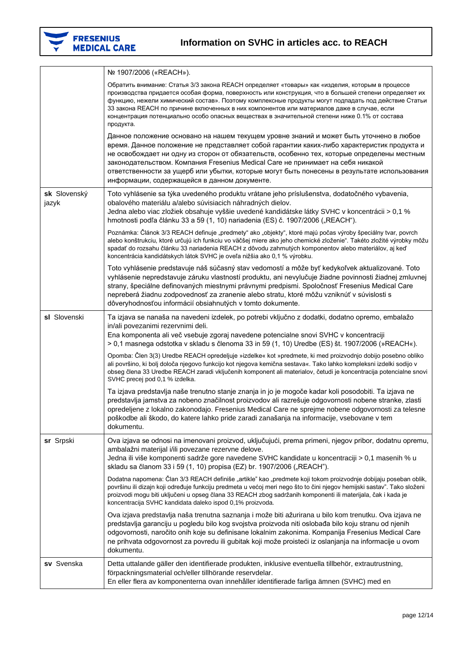

|                       | № 1907/2006 («REACH»).                                                                                                                                                                                                                                                                                                                                                                                                                                                                                                       |
|-----------------------|------------------------------------------------------------------------------------------------------------------------------------------------------------------------------------------------------------------------------------------------------------------------------------------------------------------------------------------------------------------------------------------------------------------------------------------------------------------------------------------------------------------------------|
|                       | Обратить внимание: Статья 3/3 закона REACH определяет «товары» как «изделия, которым в процессе<br>производства придается особая форма, поверхность или конструкция, что в большей степени определяет их<br>функцию, нежели химический состав». Поэтому комплексные продукты могут подпадать под действие Статьи<br>33 закона REACH по причине включенных в них компонентов или материалов даже в случае, если<br>концентрация потенциально особо опасных веществах в значительной степени ниже 0.1% от состава<br>продукта. |
|                       | Данное положение основано на нашем текущем уровне знаний и может быть уточнено в любое<br>время. Данное положение не представляет собой гарантии каких-либо характеристик продукта и<br>не освобождает ни одну из сторон от обязательств, особенно тех, которые определены местным<br>законодательством. Компания Fresenius Medical Care не принимает на себя никакой<br>ответственности за ущерб или убытки, которые могут быть понесены в результате использования<br>информации, содержащейся в данном документе.         |
| sk Slovenský<br>jazyk | Toto vyhlásenie sa týka uvedeného produktu vrátane jeho príslušenstva, dodatočného vybavenia,<br>obalového materiálu a/alebo súvisiacich náhradných dielov.<br>Jedna alebo viac zložiek obsahuje vyššie uvedené kandidátske látky SVHC v koncentrácii > 0,1 %<br>hmotnosti podľa článku 33 a 59 (1, 10) nariadenia (ES) č. 1907/2006 ("REACH").                                                                                                                                                                              |
|                       | Poznámka: Článok 3/3 REACH definuje "predmety" ako "objekty", ktoré majú počas výroby špeciálny tvar, povrch<br>alebo konštrukciu, ktoré určujú ich funkciu vo väčšej miere ako jeho chemické zloženie". Takéto zložité výrobky môžu<br>spadať do rozsahu článku 33 nariadenia REACH z dôvodu zahrnutých komponentov alebo materiálov, aj keď<br>koncentrácia kandidátskych látok SVHC je oveľa nižšia ako 0,1 % výrobku.                                                                                                    |
|                       | Toto vyhlásenie predstavuje náš súčasný stav vedomostí a môže byť kedykoľvek aktualizované. Toto<br>vyhlásenie nepredstavuje záruku vlastností produktu, ani nevylučuje žiadne povinnosti žiadnej zmluvnej<br>strany, špeciálne definovaných miestnymi právnymi predpismi. Spoločnosť Fresenius Medical Care<br>nepreberá žiadnu zodpovednosť za zranenie alebo stratu, ktoré môžu vzniknúť v súvislosti s<br>dôveryhodnosťou informácií obsiahnutých v tomto dokumente.                                                     |
| sl Slovenski          | Ta izjava se nanaša na navedeni izdelek, po potrebi vključno z dodatki, dodatno opremo, embalažo<br>in/ali povezanimi rezervnimi deli.<br>Ena komponenta ali več vsebuje zgoraj navedene potencialne snovi SVHC v koncentraciji<br>> 0,1 masnega odstotka v skladu s členoma 33 in 59 (1, 10) Uredbe (ES) št. 1907/2006 (»REACH«).                                                                                                                                                                                           |
|                       | Opomba: Člen 3(3) Uredbe REACH opredeljuje »izdelke« kot »predmete, ki med proizvodnjo dobijo posebno obliko<br>ali površino, ki bolj določa njegovo funkcijo kot njegova kemična sestava«. Tako lahko kompleksni izdelki sodijo v<br>obseg člena 33 Uredbe REACH zaradi vključenih komponent ali materialov, četudi je koncentracija potencialne snovi<br>SVHC precej pod 0,1 % izdelka.                                                                                                                                    |
|                       | Ta izjava predstavlja naše trenutno stanje znanja in jo je mogoče kadar koli posodobiti. Ta izjava ne<br>predstavlja jamstva za nobeno značilnost proizvodov ali razrešuje odgovornosti nobene stranke, zlasti<br>opredeljene z lokalno zakonodajo. Fresenius Medical Care ne sprejme nobene odgovornosti za telesne<br>poškodbe ali škodo, do katere lahko pride zaradi zanašanja na informacije, vsebovane v tem<br>dokumentu.                                                                                             |
| sr Srpski             | Ova izjava se odnosi na imenovani proizvod, uključujući, prema primeni, njegov pribor, dodatnu opremu,<br>ambalažni materijal i/ili povezane rezervne delove.<br>Jedna ili više komponenti sadrže gore navedene SVHC kandidate u koncentraciji > 0,1 masenih % u<br>skladu sa članom 33 i 59 (1, 10) propisa (EZ) br. 1907/2006 ("REACH").                                                                                                                                                                                   |
|                       | Dodatna napomena: Član 3/3 REACH definiše "artikle" kao "predmete koji tokom proizvodnje dobijaju poseban oblik,<br>površinu ili dizajn koji određuje funkciju predmeta u većoj meri nego što to čini njegov hemijski sastav". Tako složeni<br>proizvodi mogu biti uključeni u opseg člana 33 REACH zbog sadržanih komponenti ili materijala, čak i kada je<br>koncentracija SVHC kandidata daleko ispod 0,1% proizvoda.                                                                                                     |
|                       | Ova izjava predstavlja naša trenutna saznanja i može biti ažurirana u bilo kom trenutku. Ova izjava ne<br>predstavlja garanciju u pogledu bilo kog svojstva proizvoda niti oslobađa bilo koju stranu od njenih<br>odgovornosti, naročito onih koje su definisane lokalnim zakonima. Kompanija Fresenius Medical Care<br>ne prihvata odgovornost za povredu ili gubitak koji može proisteći iz oslanjanja na informacije u ovom<br>dokumentu.                                                                                 |
| sv Svenska            | Detta uttalande gäller den identifierade produkten, inklusive eventuella tillbehör, extrautrustning,<br>förpackningsmaterial och/eller tillhörande reservdelar.<br>En eller flera av komponenterna ovan innehåller identifierade farliga ämnen (SVHC) med en                                                                                                                                                                                                                                                                 |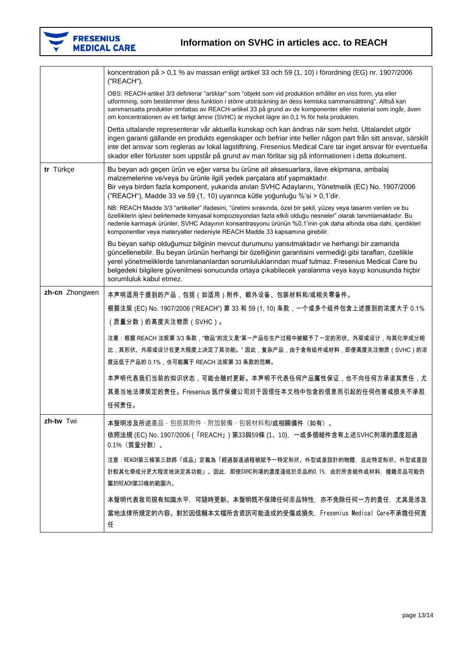

|                | koncentration på > 0,1 % av massan enligt artikel 33 och 59 (1, 10) i förordning (EG) nr. 1907/2006<br>("REACH").                                                                                                                                                                                                                                                                                                                          |
|----------------|--------------------------------------------------------------------------------------------------------------------------------------------------------------------------------------------------------------------------------------------------------------------------------------------------------------------------------------------------------------------------------------------------------------------------------------------|
|                | OBS: REACH-artikel 3/3 definierar "artiklar" som "objekt som vid produktion erhåller en viss form, yta eller<br>utformning, som bestämmer dess funktion i större utsträckning än dess kemiska sammansättning". Alltså kan<br>sammansatta produkter omfattas av REACH-artikel 33 på grund av de komponenter eller material som ingår, även<br>om koncentrationen av ett farligt ämne (SVHC) är mycket lägre än 0,1 % för hela produkten.    |
|                | Detta uttalande representerar vår aktuella kunskap och kan ändras när som helst. Uttalandet utgör<br>ingen garanti gällande en produkts egenskaper och befriar inte heller någon part från sitt ansvar, särskilt<br>inte det ansvar som regleras av lokal lagstiftning. Fresenius Medical Care tar inget ansvar för eventuella<br>skador eller förluster som uppstår på grund av man förlitar sig på informationen i detta dokument.       |
| tr Türkçe      | Bu beyan adı geçen ürün ve eğer varsa bu ürüne ait aksesuarlara, ilave ekipmana, ambalaj<br>malzemelerine ve/veya bu ürünle ilgili yedek parçalara atıf yapmaktadır.<br>Bir veya birden fazla komponent, yukarıda anılan SVHC Adaylarını, Yönetmelik (EC) No. 1907/2006<br>("REACH"), Madde 33 ve 59 (1, 10) uyarınca kütle yoğunluğu %'si > 0,1'dir.                                                                                      |
|                | NB: REACH Madde 3/3 "artikeller" ifadesini, "üretimi sırasında, özel bir şekil, yüzey veya tasarım verilen ve bu<br>özelliklerin işlevi belirlemede kimyasal kompozisyondan fazla etkili olduğu nesneler" olarak tanımlamaktadır. Bu<br>nedenle karmaşık ürünler, SVHC Adayının konsantrasyonu ürünün %0,1'inin çok daha altında olsa dahi, içerdikleri<br>komponentler veya materyaller nedeniyle REACH Madde 33 kapsamına girebilir.     |
|                | Bu beyan sahip olduğumuz bilginin mevcut durumunu yansıtmaktadır ve herhangi bir zamanda<br>güncellenebilir. Bu beyan ürünün herhangi bir özelliğinin garantisini vermediği gibi tarafları, özellikle<br>yerel yönetmeliklerde tanımlananlardan sorumluluklarından muaf tutmaz. Fresenius Medical Care bu<br>belgedeki bilgilere güvenilmesi sonucunda ortaya çıkabilecek yaralanma veya kayıp konusunda hiçbir<br>sorumluluk kabul etmez. |
| zh-cn Zhongwen | 本声明适用于提到的产品,包括(如适用)附件、额外设备、包装材料和/或相关零备件。                                                                                                                                                                                                                                                                                                                                                                                                   |
|                | 根据法规 (EC) No. 1907/2006 ("REACH") 第 33 和 59 (1, 10) 条款,一个或多个组件包含上述提到的浓度大于 0.1%                                                                                                                                                                                                                                                                                                                                                             |
|                | (质量分数)的高度关注物质(SVHC)。                                                                                                                                                                                                                                                                                                                                                                                                                       |
|                | 注意:根据 REACH 法规第 3/3 条款,"物品"的定义是"某一产品在生产过程中被赋予了一定的形状、外观或设计,与其化学成分相<br>比,其形状、外观或设计在更大程度上决定了其功能。" 因此,复杂产品,由于含有组件或材料,即便高度关注物质(SVHC)的浓<br>度远低于产品的 0.1%,也可能属于 REACH 法规第 33 条款的范畴。                                                                                                                                                                                                                                                                |
|                | 本声明代表我们当前的知识状态,可能会随时更新。本声明不代表任何产品属性保证,也不向任何方承诺其责任,尤                                                                                                                                                                                                                                                                                                                                                                                        |
|                | 其是当地法律规定的责任。Fresenius 医疗保健公司对于因信任本文档中包含的信息而引起的任何伤害或损失不承担<br>任何责任。                                                                                                                                                                                                                                                                                                                                                                          |
| zh-tw Twi      | 本聲明涉及所述產品,包括其附件、附加裝備、包裝材料和/或相關備件(如有)。                                                                                                                                                                                                                                                                                                                                                                                                      |
|                | 依照法規 (EC) No. 1907/2006(「REACH」) 第33與59條 (1、10),一或多個組件含有上述SVHC列項的濃度超過<br>0.1% (質量分數)。                                                                                                                                                                                                                                                                                                                                                      |
|                | 注意:REACH第三條第三款將「成品」定義為「經過製造過程被賦予一特定形狀、外型或是設計的物體,且此特定形狀、外型或是設<br>計較其化學成分更大程度地決定其功能」。因此,即使SVHC列項的濃度遠低於產品的0.1%,由於所含組件或材料,複雜產品可能仍<br>屬於REACH第33條的範圍內。                                                                                                                                                                                                                                                                                          |
|                | 本聲明代表我司現有知識水平,可隨時更新。本聲明既不保障任何產品特性,亦不免除任何一方的責任,尤其是涉及                                                                                                                                                                                                                                                                                                                                                                                        |
|                | 當地法律所規定的內容。對於因信賴本文檔所含資訊可能造成的受傷或損失,Fresenius Medical Care不承擔任何責<br>任                                                                                                                                                                                                                                                                                                                                                                        |